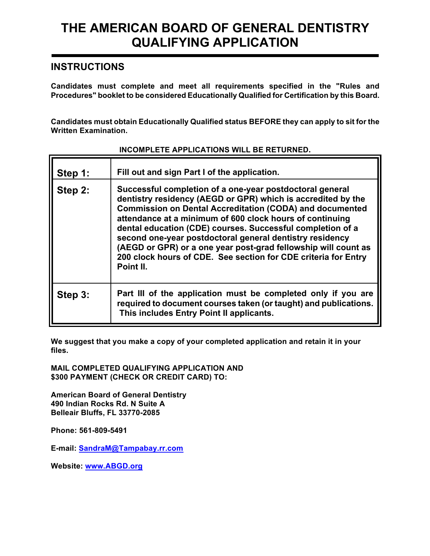## **THE AMERICAN BOARD OF GENERAL DENTISTRY QUALIFYING APPLICATION**

### **INSTRUCTIONS**

**Candidates must complete and meet all requirements specified in the "Rules and Procedures" booklet to be considered Educationally Qualified for Certification by this Board.** 

**Candidates must obtain Educationally Qualified status BEFORE they can apply to sit for the Written Examination.** 

| Step 1: | Fill out and sign Part I of the application.                                                                                                                                                                                                                                                                                                                                                                                                                                                                                       |
|---------|------------------------------------------------------------------------------------------------------------------------------------------------------------------------------------------------------------------------------------------------------------------------------------------------------------------------------------------------------------------------------------------------------------------------------------------------------------------------------------------------------------------------------------|
| Step 2: | Successful completion of a one-year postdoctoral general<br>dentistry residency (AEGD or GPR) which is accredited by the<br><b>Commission on Dental Accreditation (CODA) and documented</b><br>attendance at a minimum of 600 clock hours of continuing<br>dental education (CDE) courses. Successful completion of a<br>second one-year postdoctoral general dentistry residency<br>(AEGD or GPR) or a one year post-grad fellowship will count as<br>200 clock hours of CDE. See section for CDE criteria for Entry<br>Point II. |
| Step 3: | Part III of the application must be completed only if you are<br>required to document courses taken (or taught) and publications.<br>This includes Entry Point II applicants.                                                                                                                                                                                                                                                                                                                                                      |

#### **INCOMPLETE APPLICATIONS WILL BE RETURNED.**

**We suggest that you make a copy of your completed application and retain it in your files.**

**MAIL COMPLETED QUALIFYING APPLICATION AND \$300 PAYMENT (CHECK OR CREDIT CARD) TO:**

**American Board of General Dentistry 490 Indian Rocks Rd. N Suite A Belleair Bluffs, FL 33770-2085**

**Phone: 561-809-5491**

**E-mail: SandraM@Tampabay.rr.com**

**Website: www.ABGD.org**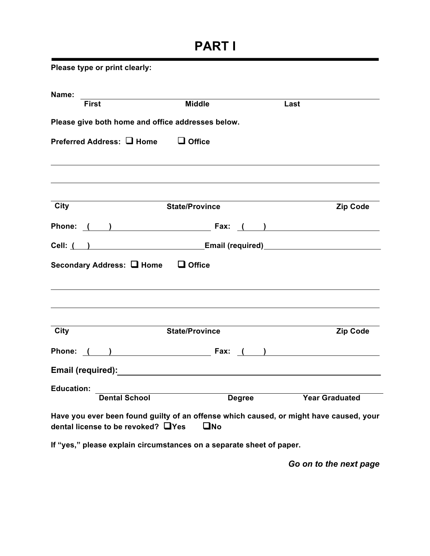# **PART I**

| Please type or print clearly:                                                                                                |                       |               |                                                    |                 |
|------------------------------------------------------------------------------------------------------------------------------|-----------------------|---------------|----------------------------------------------------|-----------------|
| Name:                                                                                                                        |                       |               |                                                    |                 |
| First                                                                                                                        | <b>Middle</b>         |               | Last                                               |                 |
| Please give both home and office addresses below.                                                                            |                       |               |                                                    |                 |
| Preferred Address: □ Home □ Office                                                                                           |                       |               |                                                    |                 |
|                                                                                                                              |                       |               |                                                    |                 |
| City                                                                                                                         | <b>State/Province</b> |               |                                                    | <b>Zip Code</b> |
| Phone: ( ) Fax: ( )                                                                                                          |                       |               |                                                    |                 |
|                                                                                                                              |                       |               |                                                    |                 |
| Secondary Address: □ Home □ Office                                                                                           |                       |               |                                                    |                 |
| City                                                                                                                         | <b>State/Province</b> |               |                                                    | <b>Zip Code</b> |
| Phone: ( ) Fax:                                                                                                              |                       |               | $\left(\begin{array}{cc} 1 & 1 \end{array}\right)$ |                 |
|                                                                                                                              |                       |               |                                                    |                 |
| <b>Education:</b>                                                                                                            |                       |               |                                                    |                 |
| <b>Dental School</b>                                                                                                         |                       | <b>Degree</b> | <b>Year Graduated</b>                              |                 |
| Have you ever been found guilty of an offense which caused, or might have caused, your<br>dental license to be revoked? □Yes | $\square$ No          |               |                                                    |                 |

**If "yes," please explain circumstances on a separate sheet of paper.**

*Go on to the next page*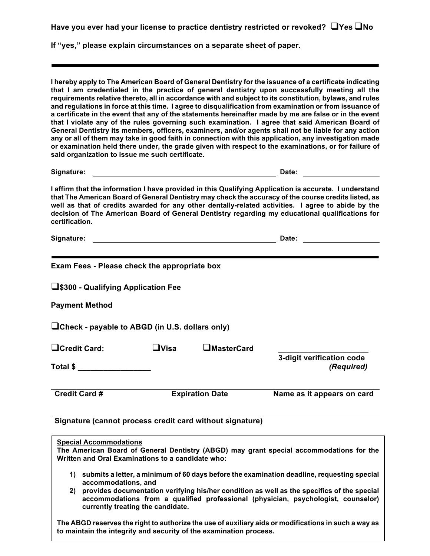**Have** you ever had your license to practice dentistry restricted or revoked?  $\Box$ Yes  $\Box$ No

**If "yes," please explain circumstances on a separate sheet of paper.**

**I hereby apply to The American Board of General Dentistry for the issuance of a certificate indicating that I am credentialed in the practice of general dentistry upon successfully meeting all the requirements relative thereto, all in accordance with and subject to its constitution, bylaws, and rules and regulations in force at this time. I agree to disqualification from examination or from issuance of a certificate in the event that any of the statements hereinafter made by me are false or in the event that I violate any of the rules governing such examination. I agree that said American Board of General Dentistry its members, officers, examiners, and/or agents shall not be liable for any action any or all of them may take in good faith in connection with this application, any investigation made or examination held there under, the grade given with respect to the examinations, or for failure of said organization to issue me such certificate.**

**Signature: Date:**

**I affirm that the information I have provided in this Qualifying Application is accurate. I understand that The American Board of General Dentistry may check the accuracy of the course credits listed, as well as that of credits awarded for any other dentally-related activities. I agree to abide by the decision of The American Board of General Dentistry regarding my educational qualifications for certification.**

**Signature: Date:**

| Exam Fees - Please check the appropriate box                                       |             |                        |                                                                                               |
|------------------------------------------------------------------------------------|-------------|------------------------|-----------------------------------------------------------------------------------------------|
| □ \$300 - Qualifying Application Fee                                               |             |                        |                                                                                               |
| <b>Payment Method</b>                                                              |             |                        |                                                                                               |
| $\Box$ Check - payable to ABGD (in U.S. dollars only)                              |             |                        |                                                                                               |
| $\Box$ Credit Card:                                                                | $\Box$ Visa | $\square$ MasterCard   |                                                                                               |
| Total $\frac{1}{2}$                                                                |             |                        | 3-digit verification code<br>(Required)                                                       |
| <b>Credit Card #</b>                                                               |             | <b>Expiration Date</b> | Name as it appears on card                                                                    |
| Signature (cannot process credit card without signature)                           |             |                        |                                                                                               |
| <b>Special Accommodations</b><br>Written and Oral Examinations to a candidate who: |             |                        | The American Board of General Dentistry (ABGD) may grant special accommodations for the       |
| accommodations, and                                                                |             |                        | 1) submits a letter, a minimum of 60 days before the examination deadline, requesting special |

**2) provides documentation verifying his/her condition as well as the specifics of the special accommodations from a qualified professional (physician, psychologist, counselor) currently treating the candidate.**

**The ABGD reserves the right to authorize the use of auxiliary aids or modifications in such a way as to maintain the integrity and security of the examination process.**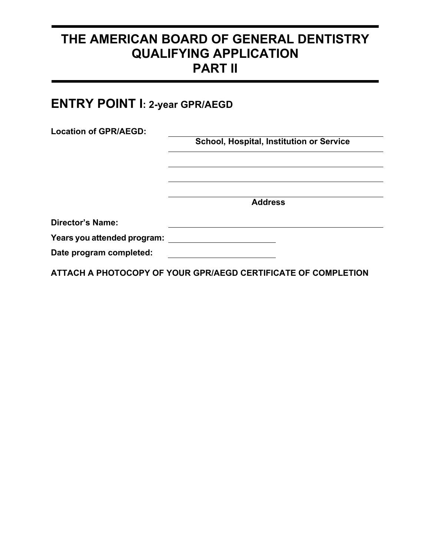## **THE AMERICAN BOARD OF GENERAL DENTISTRY QUALIFYING APPLICATION PART II**

# **ENTRY POINT I: 2-year GPR/AEGD**

| School, Hospital, Institution or Service |
|------------------------------------------|
|                                          |
|                                          |
|                                          |
|                                          |
| <b>Address</b>                           |
|                                          |
|                                          |
|                                          |
|                                          |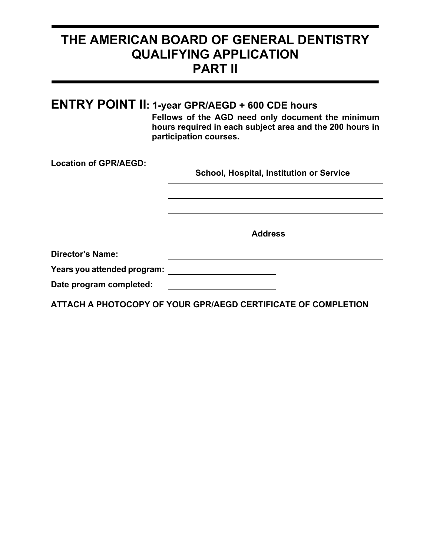## **THE AMERICAN BOARD OF GENERAL DENTISTRY QUALIFYING APPLICATION PART II**

|                              | <b>ENTRY POINT II: 1-year GPR/AEGD + 600 CDE hours</b><br>Fellows of the AGD need only document the minimum<br>hours required in each subject area and the 200 hours in<br>participation courses. |
|------------------------------|---------------------------------------------------------------------------------------------------------------------------------------------------------------------------------------------------|
| <b>Location of GPR/AEGD:</b> |                                                                                                                                                                                                   |
|                              | <b>School, Hospital, Institution or Service</b>                                                                                                                                                   |
|                              |                                                                                                                                                                                                   |
|                              |                                                                                                                                                                                                   |
|                              |                                                                                                                                                                                                   |
|                              | <b>Address</b>                                                                                                                                                                                    |
| Director's Name:             |                                                                                                                                                                                                   |
| Years you attended program:  |                                                                                                                                                                                                   |
| Date program completed:      |                                                                                                                                                                                                   |
|                              | ATTACH A PHOTOCOPY OF YOUR GPR/AEGD CERTIFICATE OF COMPLETION                                                                                                                                     |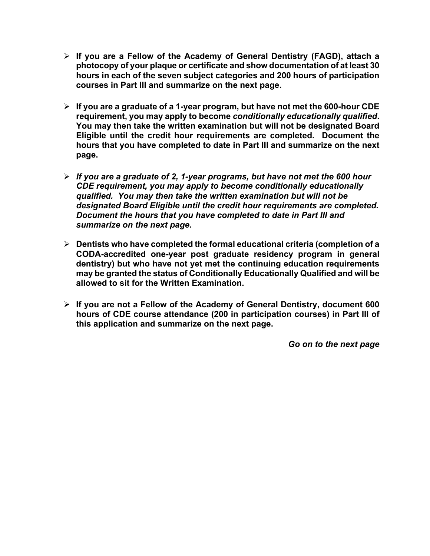- Ø **If you are a Fellow of the Academy of General Dentistry (FAGD), attach a photocopy of your plaque or certificate and show documentation of at least 30 hours in each of the seven subject categories and 200 hours of participation courses in Part III and summarize on the next page.**
- Ø **If you are a graduate of a 1-year program, but have not met the 600-hour CDE requirement, you may apply to become** *conditionally educationally qualified***. You may then take the written examination but will not be designated Board Eligible until the credit hour requirements are completed. Document the hours that you have completed to date in Part III and summarize on the next page.**
- Ø *If you are a graduate of 2, 1-year programs, but have not met the 600 hour CDE requirement, you may apply to become conditionally educationally qualified. You may then take the written examination but will not be designated Board Eligible until the credit hour requirements are completed. Document the hours that you have completed to date in Part III and summarize on the next page.*
- Ø **Dentists who have completed the formal educational criteria (completion of a CODA-accredited one-year post graduate residency program in general dentistry) but who have not yet met the continuing education requirements may be granted the status of Conditionally Educationally Qualified and will be allowed to sit for the Written Examination.**
- Ø **If you are not a Fellow of the Academy of General Dentistry, document 600 hours of CDE course attendance (200 in participation courses) in Part III of this application and summarize on the next page.**

*Go on to the next page*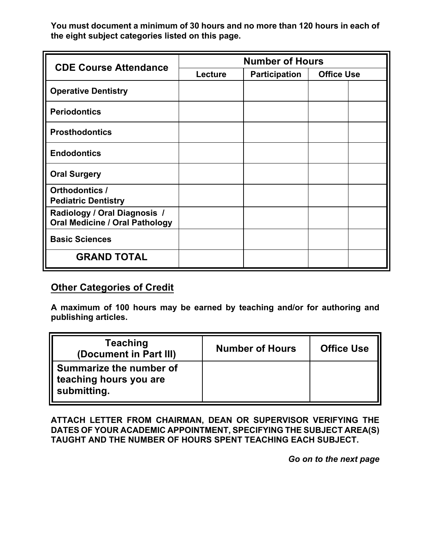**You must document a minimum of 30 hours and no more than 120 hours in each of the eight subject categories listed on this page.**

| <b>CDE Course Attendance</b>                                          | <b>Number of Hours</b> |                      |                   |  |
|-----------------------------------------------------------------------|------------------------|----------------------|-------------------|--|
|                                                                       | <b>Lecture</b>         | <b>Participation</b> | <b>Office Use</b> |  |
| <b>Operative Dentistry</b>                                            |                        |                      |                   |  |
| <b>Periodontics</b>                                                   |                        |                      |                   |  |
| <b>Prosthodontics</b>                                                 |                        |                      |                   |  |
| <b>Endodontics</b>                                                    |                        |                      |                   |  |
| <b>Oral Surgery</b>                                                   |                        |                      |                   |  |
| Orthodontics /<br><b>Pediatric Dentistry</b>                          |                        |                      |                   |  |
| Radiology / Oral Diagnosis /<br><b>Oral Medicine / Oral Pathology</b> |                        |                      |                   |  |
| <b>Basic Sciences</b>                                                 |                        |                      |                   |  |
| <b>GRAND TOTAL</b>                                                    |                        |                      |                   |  |

### **Other Categories of Credit**

**A maximum of 100 hours may be earned by teaching and/or for authoring and publishing articles.**

| <b>Teaching</b><br>(Document in Part III)                        | <b>Number of Hours</b> | <b>Office Use</b> |
|------------------------------------------------------------------|------------------------|-------------------|
| Summarize the number of<br>teaching hours you are<br>submitting. |                        |                   |

**ATTACH LETTER FROM CHAIRMAN, DEAN OR SUPERVISOR VERIFYING THE DATES OF YOUR ACADEMIC APPOINTMENT, SPECIFYING THE SUBJECT AREA(S) TAUGHT AND THE NUMBER OF HOURS SPENT TEACHING EACH SUBJECT.**

*Go on to the next page*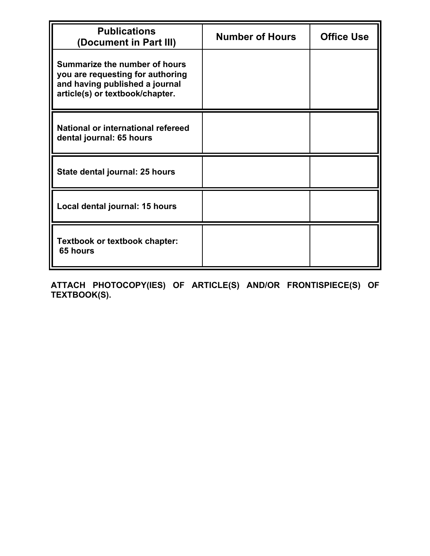| <b>Publications</b><br>(Document in Part III)                                                                                          | <b>Number of Hours</b> | <b>Office Use</b> |
|----------------------------------------------------------------------------------------------------------------------------------------|------------------------|-------------------|
| Summarize the number of hours<br>you are requesting for authoring<br>and having published a journal<br>article(s) or textbook/chapter. |                        |                   |
| National or international refereed<br>dental journal: 65 hours                                                                         |                        |                   |
| State dental journal: 25 hours                                                                                                         |                        |                   |
| Local dental journal: 15 hours                                                                                                         |                        |                   |
| <b>Textbook or textbook chapter:</b><br>65 hours                                                                                       |                        |                   |

**ATTACH PHOTOCOPY(IES) OF ARTICLE(S) AND/OR FRONTISPIECE(S) OF TEXTBOOK(S).**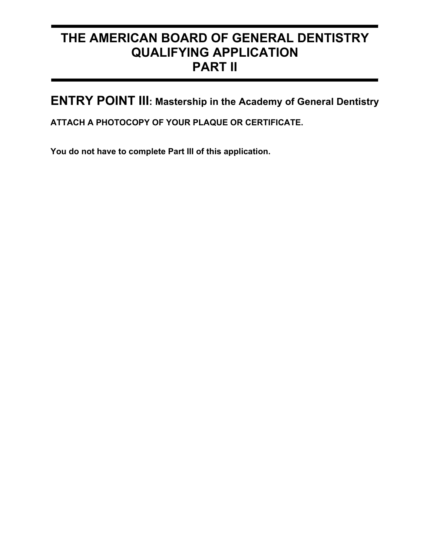# **THE AMERICAN BOARD OF GENERAL DENTISTRY QUALIFYING APPLICATION PART II**

**ENTRY POINT III: Mastership in the Academy of General Dentistry**

**ATTACH A PHOTOCOPY OF YOUR PLAQUE OR CERTIFICATE.**

**You do not have to complete Part III of this application.**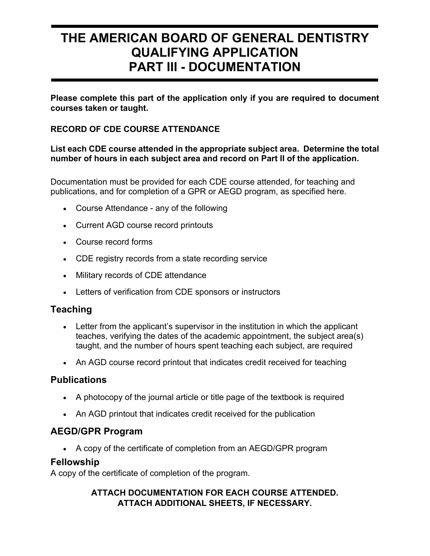# **THE AMERICAN BOARD OF GENERAL DENTISTRY QUALIFYING APPLICATION PART III - DOCUMENTATION**

**Please complete this part of the application only if you are required to document courses taken or taught.** 

#### **RECORD OF CDE COURSE ATTENDANCE**

#### **List each CDE course attended in the appropriate subject area. Determine the total number of hours in each subject area and record on Part II of the application.**

Documentation must be provided for each CDE course attended, for teaching and publications, and for completion of a GPR or AEGD program, as specified here.

- Course Attendance any of the following
- Current AGD course record printouts
- Course record forms
- CDE registry records from a state recording service
- Military records of CDE attendance
- Letters of verification from CDE sponsors or instructors

### **Teaching**

- Letter from the applicant's supervisor in the institution in which the applicant teaches, verifying the dates of the academic appointment, the subject area(s) taught, and the number of hours spent teaching each subject, are required
- An AGD course record printout that indicates credit received for teaching

### **Publications**

- A photocopy of the journal article or title page of the textbook is required
- An AGD printout that indicates credit received for the publication

### **AEGD/GPR Program**

• A copy of the certificate of completion from an AEGD/GPR program

#### **Fellowship**

A copy of the certificate of completion of the program.

#### **ATTACH DOCUMENTATION FOR EACH COURSE ATTENDED. ATTACH ADDITIONAL SHEETS, IF NECESSARY.**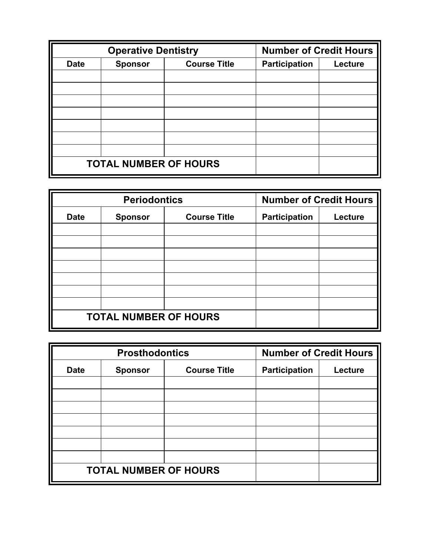| <b>Operative Dentistry</b>   |                |                     | <b>Number of Credit Hours</b> |         |
|------------------------------|----------------|---------------------|-------------------------------|---------|
| <b>Date</b>                  | <b>Sponsor</b> | <b>Course Title</b> | <b>Participation</b>          | Lecture |
|                              |                |                     |                               |         |
|                              |                |                     |                               |         |
|                              |                |                     |                               |         |
|                              |                |                     |                               |         |
|                              |                |                     |                               |         |
|                              |                |                     |                               |         |
|                              |                |                     |                               |         |
| <b>TOTAL NUMBER OF HOURS</b> |                |                     |                               |         |

| <b>Periodontics</b>          |                |                     | <b>Number of Credit Hours</b>   |  |
|------------------------------|----------------|---------------------|---------------------------------|--|
| <b>Date</b>                  | <b>Sponsor</b> | <b>Course Title</b> | <b>Participation</b><br>Lecture |  |
|                              |                |                     |                                 |  |
|                              |                |                     |                                 |  |
|                              |                |                     |                                 |  |
|                              |                |                     |                                 |  |
|                              |                |                     |                                 |  |
|                              |                |                     |                                 |  |
|                              |                |                     |                                 |  |
| <b>TOTAL NUMBER OF HOURS</b> |                |                     |                                 |  |

| <b>Prosthodontics</b>        |                |                     | <b>Number of Credit Hours</b> |         |
|------------------------------|----------------|---------------------|-------------------------------|---------|
| <b>Date</b>                  | <b>Sponsor</b> | <b>Course Title</b> | <b>Participation</b>          | Lecture |
|                              |                |                     |                               |         |
|                              |                |                     |                               |         |
|                              |                |                     |                               |         |
|                              |                |                     |                               |         |
|                              |                |                     |                               |         |
|                              |                |                     |                               |         |
|                              |                |                     |                               |         |
| <b>TOTAL NUMBER OF HOURS</b> |                |                     |                               |         |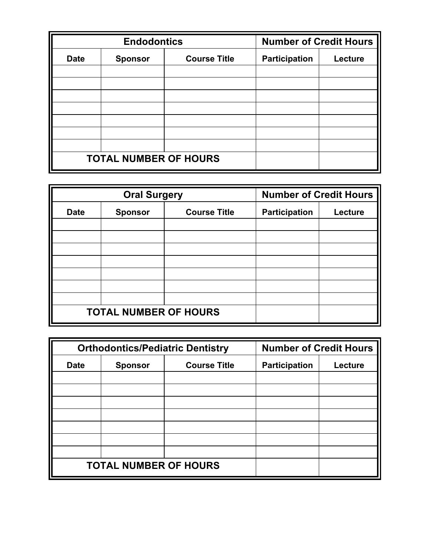| <b>Endodontics</b>           |                |                     | <b>Number of Credit Hours</b>   |  |
|------------------------------|----------------|---------------------|---------------------------------|--|
| <b>Date</b>                  | <b>Sponsor</b> | <b>Course Title</b> | <b>Participation</b><br>Lecture |  |
|                              |                |                     |                                 |  |
|                              |                |                     |                                 |  |
|                              |                |                     |                                 |  |
|                              |                |                     |                                 |  |
|                              |                |                     |                                 |  |
|                              |                |                     |                                 |  |
|                              |                |                     |                                 |  |
| <b>TOTAL NUMBER OF HOURS</b> |                |                     |                                 |  |

| <b>Oral Surgery</b>          |                |                     | <b>Number of Credit Hours</b> |         |
|------------------------------|----------------|---------------------|-------------------------------|---------|
| <b>Date</b>                  | <b>Sponsor</b> | <b>Course Title</b> | <b>Participation</b>          | Lecture |
|                              |                |                     |                               |         |
|                              |                |                     |                               |         |
|                              |                |                     |                               |         |
|                              |                |                     |                               |         |
|                              |                |                     |                               |         |
|                              |                |                     |                               |         |
|                              |                |                     |                               |         |
| <b>TOTAL NUMBER OF HOURS</b> |                |                     |                               |         |

| <b>Orthodontics/Pediatric Dentistry</b> |                |                     | <b>Number of Credit Hours</b> |         |
|-----------------------------------------|----------------|---------------------|-------------------------------|---------|
| <b>Date</b>                             | <b>Sponsor</b> | <b>Course Title</b> | <b>Participation</b>          | Lecture |
|                                         |                |                     |                               |         |
|                                         |                |                     |                               |         |
|                                         |                |                     |                               |         |
|                                         |                |                     |                               |         |
|                                         |                |                     |                               |         |
|                                         |                |                     |                               |         |
|                                         |                |                     |                               |         |
| <b>TOTAL NUMBER OF HOURS</b>            |                |                     |                               |         |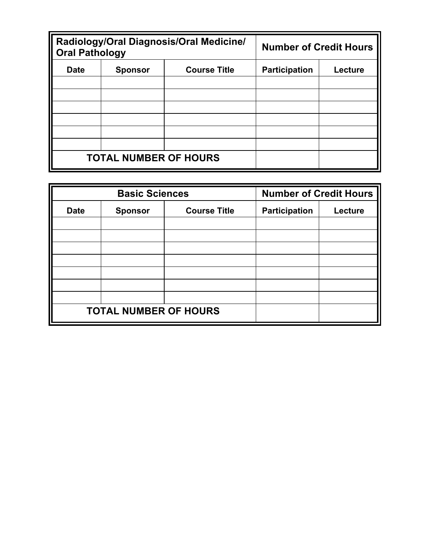| Radiology/Oral Diagnosis/Oral Medicine/<br><b>Oral Pathology</b> |                |                     | <b>Number of Credit Hours</b> |                |
|------------------------------------------------------------------|----------------|---------------------|-------------------------------|----------------|
| <b>Date</b>                                                      | <b>Sponsor</b> | <b>Course Title</b> | <b>Participation</b>          | <b>Lecture</b> |
|                                                                  |                |                     |                               |                |
|                                                                  |                |                     |                               |                |
|                                                                  |                |                     |                               |                |
|                                                                  |                |                     |                               |                |
|                                                                  |                |                     |                               |                |
|                                                                  |                |                     |                               |                |
| <b>TOTAL NUMBER OF HOURS</b>                                     |                |                     |                               |                |

| <b>Basic Sciences</b>        |                                       |  | <b>Number of Credit Hours</b> |         |
|------------------------------|---------------------------------------|--|-------------------------------|---------|
| <b>Date</b>                  | <b>Course Title</b><br><b>Sponsor</b> |  | <b>Participation</b>          | Lecture |
|                              |                                       |  |                               |         |
|                              |                                       |  |                               |         |
|                              |                                       |  |                               |         |
|                              |                                       |  |                               |         |
|                              |                                       |  |                               |         |
|                              |                                       |  |                               |         |
|                              |                                       |  |                               |         |
| <b>TOTAL NUMBER OF HOURS</b> |                                       |  |                               |         |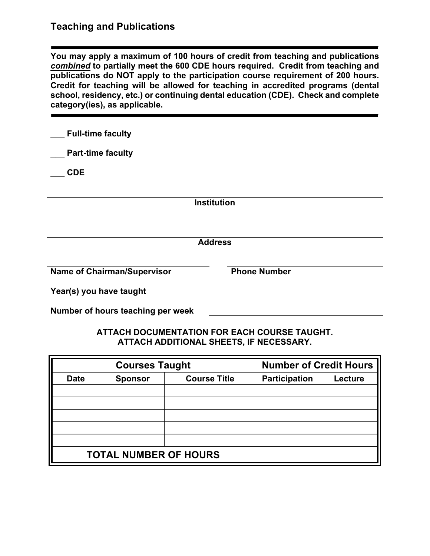### **Teaching and Publications**

**You may apply a maximum of 100 hours of credit from teaching and publications**  *combined* **to partially meet the 600 CDE hours required. Credit from teaching and publications do NOT apply to the participation course requirement of 200 hours. Credit for teaching will be allowed for teaching in accredited programs (dental school, residency, etc.) or continuing dental education (CDE). Check and complete category(ies), as applicable.**

| <b>Full-time faculty</b>           |                     |
|------------------------------------|---------------------|
| <b>Part-time faculty</b>           |                     |
| <b>CDE</b>                         |                     |
|                                    |                     |
|                                    | <b>Institution</b>  |
|                                    |                     |
|                                    | <b>Address</b>      |
| <b>Name of Chairman/Supervisor</b> | <b>Phone Number</b> |
| Year(s) you have taught            |                     |
| Number of hours teaching per week  |                     |

#### **ATTACH DOCUMENTATION FOR EACH COURSE TAUGHT. ATTACH ADDITIONAL SHEETS, IF NECESSARY.**

| <b>Courses Taught</b>                                |  |                      | <b>Number of Credit Hours</b> |  |
|------------------------------------------------------|--|----------------------|-------------------------------|--|
| <b>Course Title</b><br><b>Date</b><br><b>Sponsor</b> |  | <b>Participation</b> | Lecture                       |  |
|                                                      |  |                      |                               |  |
|                                                      |  |                      |                               |  |
|                                                      |  |                      |                               |  |
|                                                      |  |                      |                               |  |
|                                                      |  |                      |                               |  |
| <b>TOTAL NUMBER OF HOURS</b>                         |  |                      |                               |  |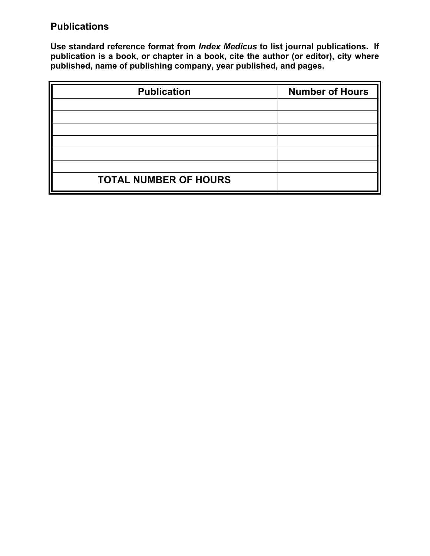## **Publications**

**Use standard reference format from** *Index Medicus* **to list journal publications. If publication is a book, or chapter in a book, cite the author (or editor), city where published, name of publishing company, year published, and pages.**

| <b>Publication</b>           | <b>Number of Hours</b> |
|------------------------------|------------------------|
|                              |                        |
|                              |                        |
|                              |                        |
|                              |                        |
|                              |                        |
|                              |                        |
| <b>TOTAL NUMBER OF HOURS</b> |                        |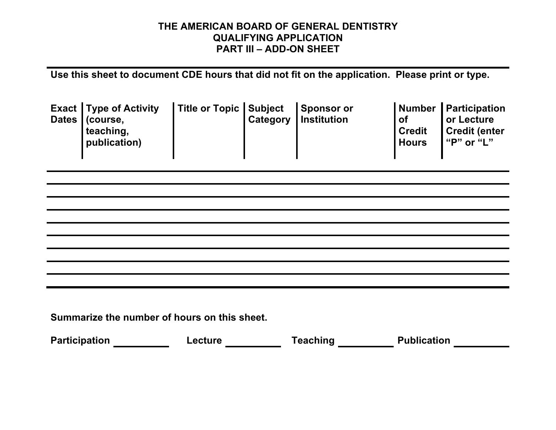### **THE AMERICAN BOARD OF GENERAL DENTISTRY QUALIFYING APPLICATION PART III – ADD-ON SHEET**

**Use this sheet to document CDE hours that did not fit on the application. Please print or type.**

|  | <b>Exact Type of Activity</b><br>Dates   (course,<br>teaching,<br>publication) | Title or Topic Subject Sponsor or |  | <b>Category Institution</b> | Number<br><b>of</b><br><b>Credit</b><br><b>Hours</b> | <b>Participation</b><br>or Lecture<br><b>Credit (enter</b><br>"P" or "L" |
|--|--------------------------------------------------------------------------------|-----------------------------------|--|-----------------------------|------------------------------------------------------|--------------------------------------------------------------------------|
|--|--------------------------------------------------------------------------------|-----------------------------------|--|-----------------------------|------------------------------------------------------|--------------------------------------------------------------------------|

**Summarize the number of hours on this sheet.**

| <b>Participation</b> | -ecture | <b>Teaching</b> | <b>Publication</b> |
|----------------------|---------|-----------------|--------------------|
|                      |         |                 |                    |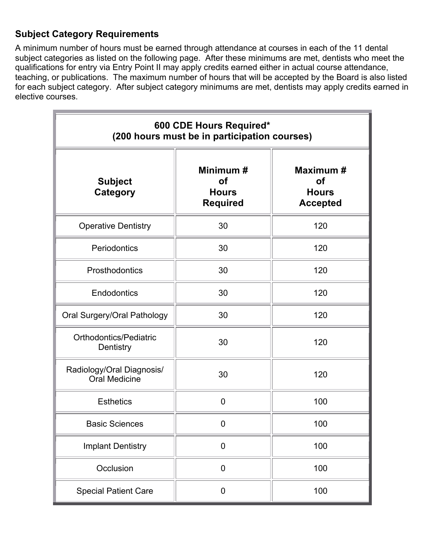## **Subject Category Requirements**

A minimum number of hours must be earned through attendance at courses in each of the 11 dental subject categories as listed on the following page. After these minimums are met, dentists who meet the qualifications for entry via Entry Point II may apply credits earned either in actual course attendance, teaching, or publications. The maximum number of hours that will be accepted by the Board is also listed for each subject category. After subject category minimums are met, dentists may apply credits earned in elective courses.

| 600 CDE Hours Required*<br>(200 hours must be in participation courses) |                                                           |                                                           |  |  |  |
|-------------------------------------------------------------------------|-----------------------------------------------------------|-----------------------------------------------------------|--|--|--|
| <b>Subject</b><br><b>Category</b>                                       | Minimum #<br><b>of</b><br><b>Hours</b><br><b>Required</b> | Maximum #<br><b>of</b><br><b>Hours</b><br><b>Accepted</b> |  |  |  |
| <b>Operative Dentistry</b>                                              | 30                                                        | 120                                                       |  |  |  |
| Periodontics                                                            | 30                                                        | 120                                                       |  |  |  |
| Prosthodontics                                                          | 30                                                        | 120                                                       |  |  |  |
| Endodontics                                                             | 30                                                        | 120                                                       |  |  |  |
| Oral Surgery/Oral Pathology                                             | 30                                                        | 120                                                       |  |  |  |
| Orthodontics/Pediatric<br>Dentistry                                     | 30                                                        | 120                                                       |  |  |  |
| Radiology/Oral Diagnosis/<br><b>Oral Medicine</b>                       | 30                                                        | 120                                                       |  |  |  |
| <b>Esthetics</b>                                                        | $\overline{0}$                                            | 100                                                       |  |  |  |
| <b>Basic Sciences</b>                                                   | 0                                                         | 100                                                       |  |  |  |
| <b>Implant Dentistry</b>                                                | $\mathbf 0$                                               | 100                                                       |  |  |  |
| Occlusion                                                               | $\mathbf 0$                                               | 100                                                       |  |  |  |
| <b>Special Patient Care</b>                                             | $\mathbf 0$                                               | 100                                                       |  |  |  |